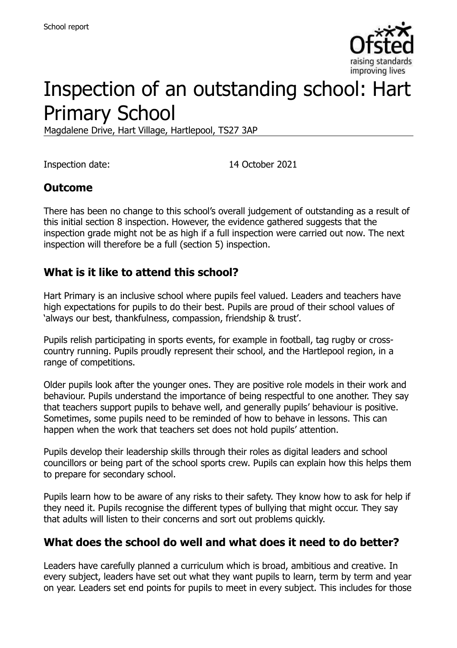

# Inspection of an outstanding school: Hart Primary School

Magdalene Drive, Hart Village, Hartlepool, TS27 3AP

Inspection date: 14 October 2021

#### **Outcome**

There has been no change to this school's overall judgement of outstanding as a result of this initial section 8 inspection. However, the evidence gathered suggests that the inspection grade might not be as high if a full inspection were carried out now. The next inspection will therefore be a full (section 5) inspection.

#### **What is it like to attend this school?**

Hart Primary is an inclusive school where pupils feel valued. Leaders and teachers have high expectations for pupils to do their best. Pupils are proud of their school values of 'always our best, thankfulness, compassion, friendship & trust'.

Pupils relish participating in sports events, for example in football, tag rugby or crosscountry running. Pupils proudly represent their school, and the Hartlepool region, in a range of competitions.

Older pupils look after the younger ones. They are positive role models in their work and behaviour. Pupils understand the importance of being respectful to one another. They say that teachers support pupils to behave well, and generally pupils' behaviour is positive. Sometimes, some pupils need to be reminded of how to behave in lessons. This can happen when the work that teachers set does not hold pupils' attention.

Pupils develop their leadership skills through their roles as digital leaders and school councillors or being part of the school sports crew. Pupils can explain how this helps them to prepare for secondary school.

Pupils learn how to be aware of any risks to their safety. They know how to ask for help if they need it. Pupils recognise the different types of bullying that might occur. They say that adults will listen to their concerns and sort out problems quickly.

# **What does the school do well and what does it need to do better?**

Leaders have carefully planned a curriculum which is broad, ambitious and creative. In every subject, leaders have set out what they want pupils to learn, term by term and year on year. Leaders set end points for pupils to meet in every subject. This includes for those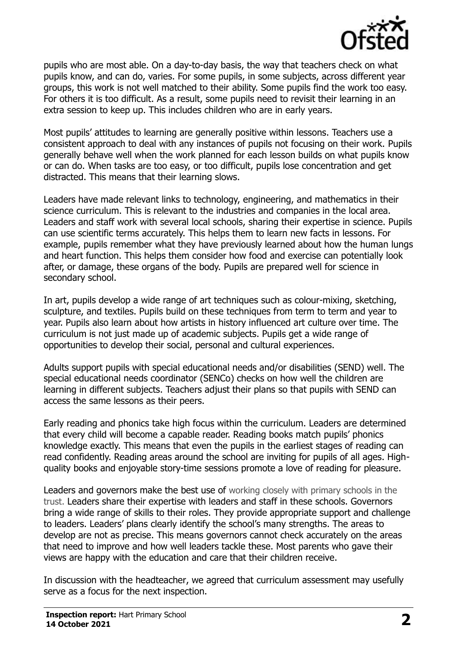

pupils who are most able. On a day-to-day basis, the way that teachers check on what pupils know, and can do, varies. For some pupils, in some subjects, across different year groups, this work is not well matched to their ability. Some pupils find the work too easy. For others it is too difficult. As a result, some pupils need to revisit their learning in an extra session to keep up. This includes children who are in early years.

Most pupils' attitudes to learning are generally positive within lessons. Teachers use a consistent approach to deal with any instances of pupils not focusing on their work. Pupils generally behave well when the work planned for each lesson builds on what pupils know or can do. When tasks are too easy, or too difficult, pupils lose concentration and get distracted. This means that their learning slows.

Leaders have made relevant links to technology, engineering, and mathematics in their science curriculum. This is relevant to the industries and companies in the local area. Leaders and staff work with several local schools, sharing their expertise in science. Pupils can use scientific terms accurately. This helps them to learn new facts in lessons. For example, pupils remember what they have previously learned about how the human lungs and heart function. This helps them consider how food and exercise can potentially look after, or damage, these organs of the body. Pupils are prepared well for science in secondary school.

In art, pupils develop a wide range of art techniques such as colour-mixing, sketching, sculpture, and textiles. Pupils build on these techniques from term to term and year to year. Pupils also learn about how artists in history influenced art culture over time. The curriculum is not just made up of academic subjects. Pupils get a wide range of opportunities to develop their social, personal and cultural experiences.

Adults support pupils with special educational needs and/or disabilities (SEND) well. The special educational needs coordinator (SENCo) checks on how well the children are learning in different subjects. Teachers adjust their plans so that pupils with SEND can access the same lessons as their peers.

Early reading and phonics take high focus within the curriculum. Leaders are determined that every child will become a capable reader. Reading books match pupils' phonics knowledge exactly. This means that even the pupils in the earliest stages of reading can read confidently. Reading areas around the school are inviting for pupils of all ages. Highquality books and enjoyable story-time sessions promote a love of reading for pleasure.

Leaders and governors make the best use of working closely with primary schools in the trust. Leaders share their expertise with leaders and staff in these schools. Governors bring a wide range of skills to their roles. They provide appropriate support and challenge to leaders. Leaders' plans clearly identify the school's many strengths. The areas to develop are not as precise. This means governors cannot check accurately on the areas that need to improve and how well leaders tackle these. Most parents who gave their views are happy with the education and care that their children receive.

In discussion with the headteacher, we agreed that curriculum assessment may usefully serve as a focus for the next inspection.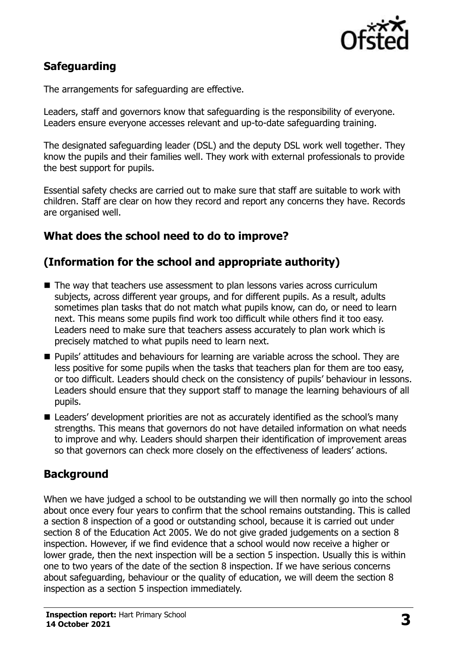

# **Safeguarding**

The arrangements for safeguarding are effective.

Leaders, staff and governors know that safeguarding is the responsibility of everyone. Leaders ensure everyone accesses relevant and up-to-date safeguarding training.

The designated safeguarding leader (DSL) and the deputy DSL work well together. They know the pupils and their families well. They work with external professionals to provide the best support for pupils.

Essential safety checks are carried out to make sure that staff are suitable to work with children. Staff are clear on how they record and report any concerns they have. Records are organised well.

# **What does the school need to do to improve?**

# **(Information for the school and appropriate authority)**

- The way that teachers use assessment to plan lessons varies across curriculum subjects, across different year groups, and for different pupils. As a result, adults sometimes plan tasks that do not match what pupils know, can do, or need to learn next. This means some pupils find work too difficult while others find it too easy. Leaders need to make sure that teachers assess accurately to plan work which is precisely matched to what pupils need to learn next.
- Pupils' attitudes and behaviours for learning are variable across the school. They are less positive for some pupils when the tasks that teachers plan for them are too easy, or too difficult. Leaders should check on the consistency of pupils' behaviour in lessons. Leaders should ensure that they support staff to manage the learning behaviours of all pupils.
- Leaders' development priorities are not as accurately identified as the school's many strengths. This means that governors do not have detailed information on what needs to improve and why. Leaders should sharpen their identification of improvement areas so that governors can check more closely on the effectiveness of leaders' actions.

# **Background**

When we have judged a school to be outstanding we will then normally go into the school about once every four years to confirm that the school remains outstanding. This is called a section 8 inspection of a good or outstanding school, because it is carried out under section 8 of the Education Act 2005. We do not give graded judgements on a section 8 inspection. However, if we find evidence that a school would now receive a higher or lower grade, then the next inspection will be a section 5 inspection. Usually this is within one to two years of the date of the section 8 inspection. If we have serious concerns about safeguarding, behaviour or the quality of education, we will deem the section 8 inspection as a section 5 inspection immediately.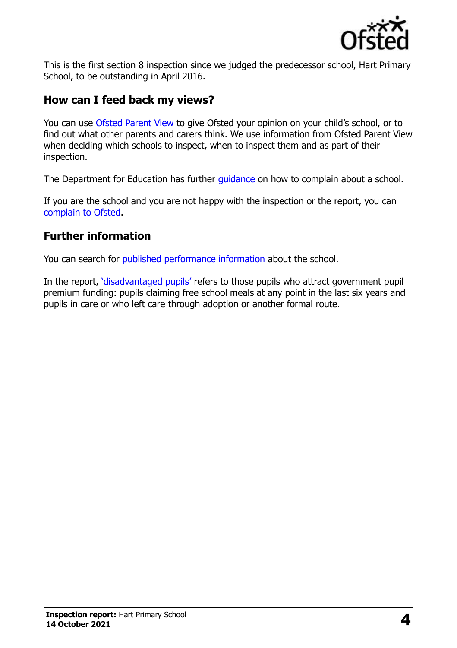

This is the first section 8 inspection since we judged the predecessor school, Hart Primary School, to be outstanding in April 2016.

# **How can I feed back my views?**

You can use [Ofsted Parent View](https://parentview.ofsted.gov.uk/) to give Ofsted your opinion on your child's school, or to find out what other parents and carers think. We use information from Ofsted Parent View when deciding which schools to inspect, when to inspect them and as part of their inspection.

The Department for Education has further quidance on how to complain about a school.

If you are the school and you are not happy with the inspection or the report, you can [complain to Ofsted.](https://www.gov.uk/complain-ofsted-report)

# **Further information**

You can search for [published performance information](http://www.compare-school-performance.service.gov.uk/) about the school.

In the report, '[disadvantaged pupils](http://www.gov.uk/guidance/pupil-premium-information-for-schools-and-alternative-provision-settings)' refers to those pupils who attract government pupil premium funding: pupils claiming free school meals at any point in the last six years and pupils in care or who left care through adoption or another formal route.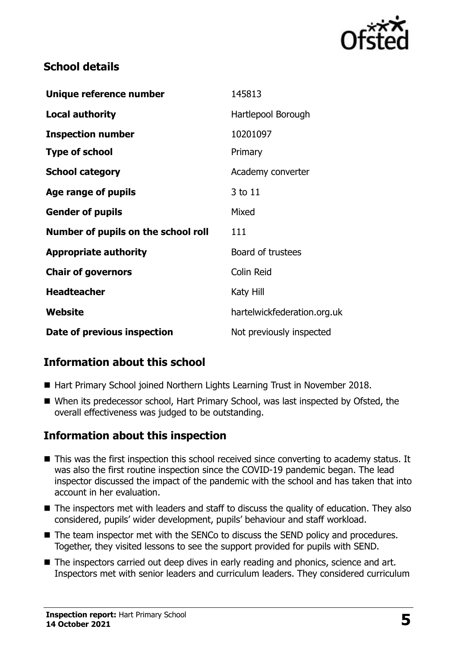

# **School details**

| Unique reference number             | 145813                      |
|-------------------------------------|-----------------------------|
| <b>Local authority</b>              | Hartlepool Borough          |
| <b>Inspection number</b>            | 10201097                    |
| <b>Type of school</b>               | Primary                     |
| <b>School category</b>              | Academy converter           |
| Age range of pupils                 | 3 to 11                     |
| <b>Gender of pupils</b>             | Mixed                       |
| Number of pupils on the school roll | 111                         |
| <b>Appropriate authority</b>        | Board of trustees           |
| <b>Chair of governors</b>           | <b>Colin Reid</b>           |
| <b>Headteacher</b>                  | Katy Hill                   |
| Website                             | hartelwickfederation.org.uk |
| Date of previous inspection         | Not previously inspected    |

# **Information about this school**

- Hart Primary School joined Northern Lights Learning Trust in November 2018.
- When its predecessor school, Hart Primary School, was last inspected by Ofsted, the overall effectiveness was judged to be outstanding.

# **Information about this inspection**

- This was the first inspection this school received since converting to academy status. It was also the first routine inspection since the COVID-19 pandemic began. The lead inspector discussed the impact of the pandemic with the school and has taken that into account in her evaluation.
- The inspectors met with leaders and staff to discuss the quality of education. They also considered, pupils' wider development, pupils' behaviour and staff workload.
- The team inspector met with the SENCo to discuss the SEND policy and procedures. Together, they visited lessons to see the support provided for pupils with SEND.
- The inspectors carried out deep dives in early reading and phonics, science and art. Inspectors met with senior leaders and curriculum leaders. They considered curriculum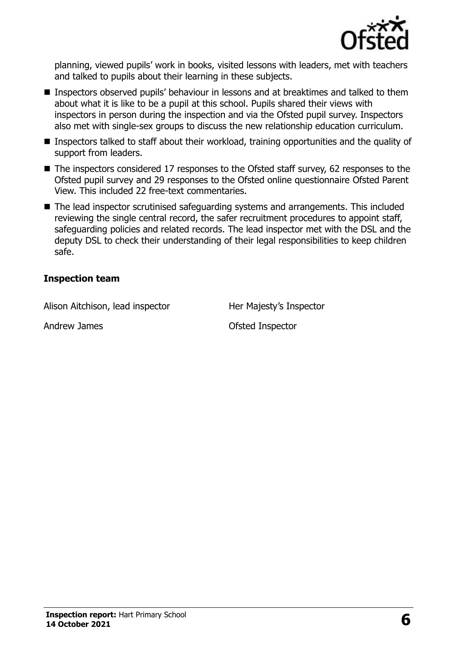

planning, viewed pupils' work in books, visited lessons with leaders, met with teachers and talked to pupils about their learning in these subjects.

- Inspectors observed pupils' behaviour in lessons and at breaktimes and talked to them about what it is like to be a pupil at this school. Pupils shared their views with inspectors in person during the inspection and via the Ofsted pupil survey. Inspectors also met with single-sex groups to discuss the new relationship education curriculum.
- Inspectors talked to staff about their workload, training opportunities and the quality of support from leaders.
- The inspectors considered 17 responses to the Ofsted staff survey, 62 responses to the Ofsted pupil survey and 29 responses to the Ofsted online questionnaire Ofsted Parent View. This included 22 free-text commentaries.
- The lead inspector scrutinised safeguarding systems and arrangements. This included reviewing the single central record, the safer recruitment procedures to appoint staff, safeguarding policies and related records. The lead inspector met with the DSL and the deputy DSL to check their understanding of their legal responsibilities to keep children safe.

#### **Inspection team**

Alison Aitchison, lead inspector Her Majesty's Inspector

Andrew James **Calculation Contract Andrew James Contract Contract Andrew James**